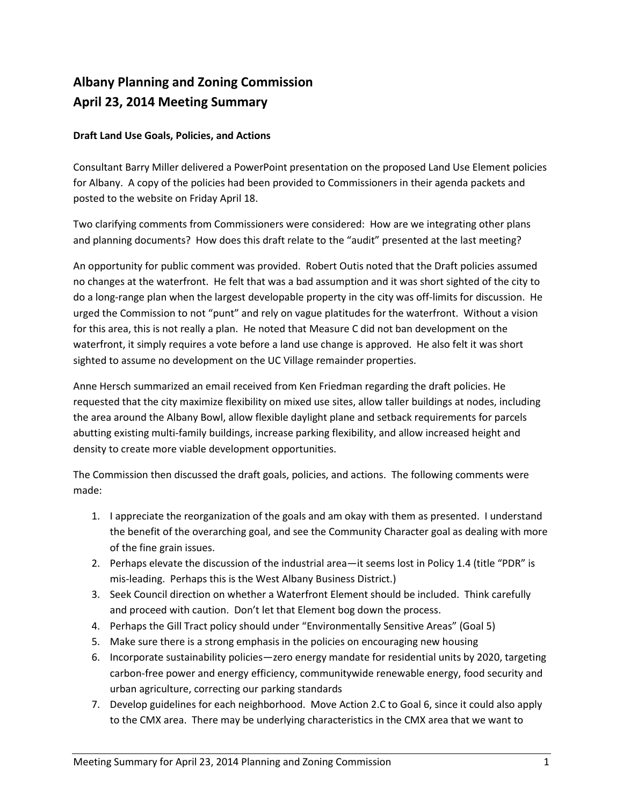## **Albany Planning and Zoning Commission April 23, 2014 Meeting Summary**

## **Draft Land Use Goals, Policies, and Actions**

Consultant Barry Miller delivered a PowerPoint presentation on the proposed Land Use Element policies for Albany. A copy of the policies had been provided to Commissioners in their agenda packets and posted to the website on Friday April 18.

Two clarifying comments from Commissioners were considered: How are we integrating other plans and planning documents? How does this draft relate to the "audit" presented at the last meeting?

An opportunity for public comment was provided. Robert Outis noted that the Draft policies assumed no changes at the waterfront. He felt that was a bad assumption and it was short sighted of the city to do a long-range plan when the largest developable property in the city was off-limits for discussion. He urged the Commission to not "punt" and rely on vague platitudes for the waterfront. Without a vision for this area, this is not really a plan. He noted that Measure C did not ban development on the waterfront, it simply requires a vote before a land use change is approved. He also felt it was short sighted to assume no development on the UC Village remainder properties.

Anne Hersch summarized an email received from Ken Friedman regarding the draft policies. He requested that the city maximize flexibility on mixed use sites, allow taller buildings at nodes, including the area around the Albany Bowl, allow flexible daylight plane and setback requirements for parcels abutting existing multi-family buildings, increase parking flexibility, and allow increased height and density to create more viable development opportunities.

The Commission then discussed the draft goals, policies, and actions. The following comments were made:

- 1. I appreciate the reorganization of the goals and am okay with them as presented. I understand the benefit of the overarching goal, and see the Community Character goal as dealing with more of the fine grain issues.
- 2. Perhaps elevate the discussion of the industrial area—it seems lost in Policy 1.4 (title "PDR" is mis-leading. Perhaps this is the West Albany Business District.)
- 3. Seek Council direction on whether a Waterfront Element should be included. Think carefully and proceed with caution. Don't let that Element bog down the process.
- 4. Perhaps the Gill Tract policy should under "Environmentally Sensitive Areas" (Goal 5)
- 5. Make sure there is a strong emphasis in the policies on encouraging new housing
- 6. Incorporate sustainability policies—zero energy mandate for residential units by 2020, targeting carbon-free power and energy efficiency, communitywide renewable energy, food security and urban agriculture, correcting our parking standards
- 7. Develop guidelines for each neighborhood. Move Action 2.C to Goal 6, since it could also apply to the CMX area. There may be underlying characteristics in the CMX area that we want to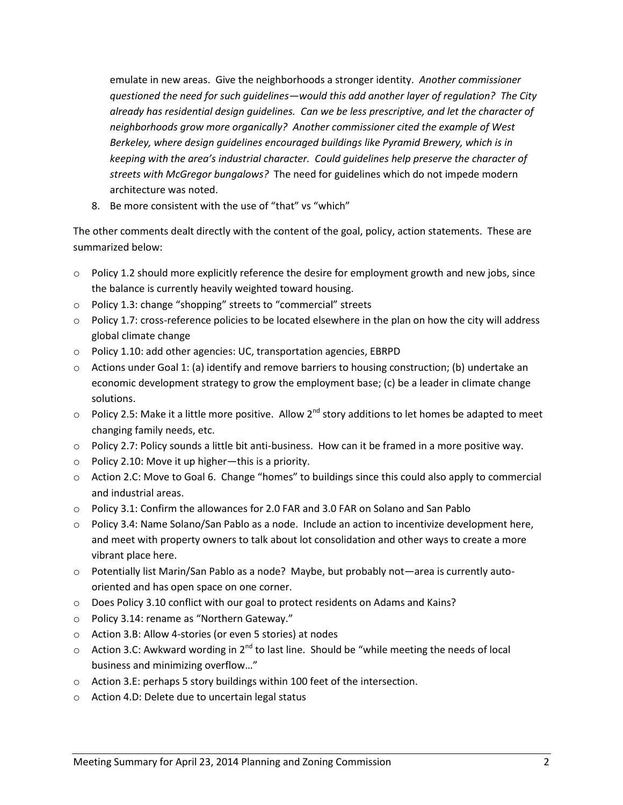emulate in new areas. Give the neighborhoods a stronger identity. *Another commissioner questioned the need for such guidelines—would this add another layer of regulation? The City already has residential design guidelines. Can we be less prescriptive, and let the character of neighborhoods grow more organically? Another commissioner cited the example of West Berkeley, where design guidelines encouraged buildings like Pyramid Brewery, which is in keeping with the area's industrial character. Could guidelines help preserve the character of streets with McGregor bungalows?* The need for guidelines which do not impede modern architecture was noted.

8. Be more consistent with the use of "that" vs "which"

The other comments dealt directly with the content of the goal, policy, action statements. These are summarized below:

- o Policy 1.2 should more explicitly reference the desire for employment growth and new jobs, since the balance is currently heavily weighted toward housing.
- o Policy 1.3: change "shopping" streets to "commercial" streets
- $\circ$  Policy 1.7: cross-reference policies to be located elsewhere in the plan on how the city will address global climate change
- o Policy 1.10: add other agencies: UC, transportation agencies, EBRPD
- $\circ$  Actions under Goal 1: (a) identify and remove barriers to housing construction; (b) undertake an economic development strategy to grow the employment base; (c) be a leader in climate change solutions.
- $\circ$  Policy 2.5: Make it a little more positive. Allow 2<sup>nd</sup> story additions to let homes be adapted to meet changing family needs, etc.
- o Policy 2.7: Policy sounds a little bit anti-business. How can it be framed in a more positive way.
- o Policy 2.10: Move it up higher—this is a priority.
- $\circ$  Action 2.C: Move to Goal 6. Change "homes" to buildings since this could also apply to commercial and industrial areas.
- o Policy 3.1: Confirm the allowances for 2.0 FAR and 3.0 FAR on Solano and San Pablo
- o Policy 3.4: Name Solano/San Pablo as a node. Include an action to incentivize development here, and meet with property owners to talk about lot consolidation and other ways to create a more vibrant place here.
- o Potentially list Marin/San Pablo as a node? Maybe, but probably not—area is currently autooriented and has open space on one corner.
- o Does Policy 3.10 conflict with our goal to protect residents on Adams and Kains?
- o Policy 3.14: rename as "Northern Gateway."
- o Action 3.B: Allow 4-stories (or even 5 stories) at nodes
- $\circ$  Action 3.C: Awkward wording in 2<sup>nd</sup> to last line. Should be "while meeting the needs of local business and minimizing overflow…"
- o Action 3.E: perhaps 5 story buildings within 100 feet of the intersection.
- o Action 4.D: Delete due to uncertain legal status